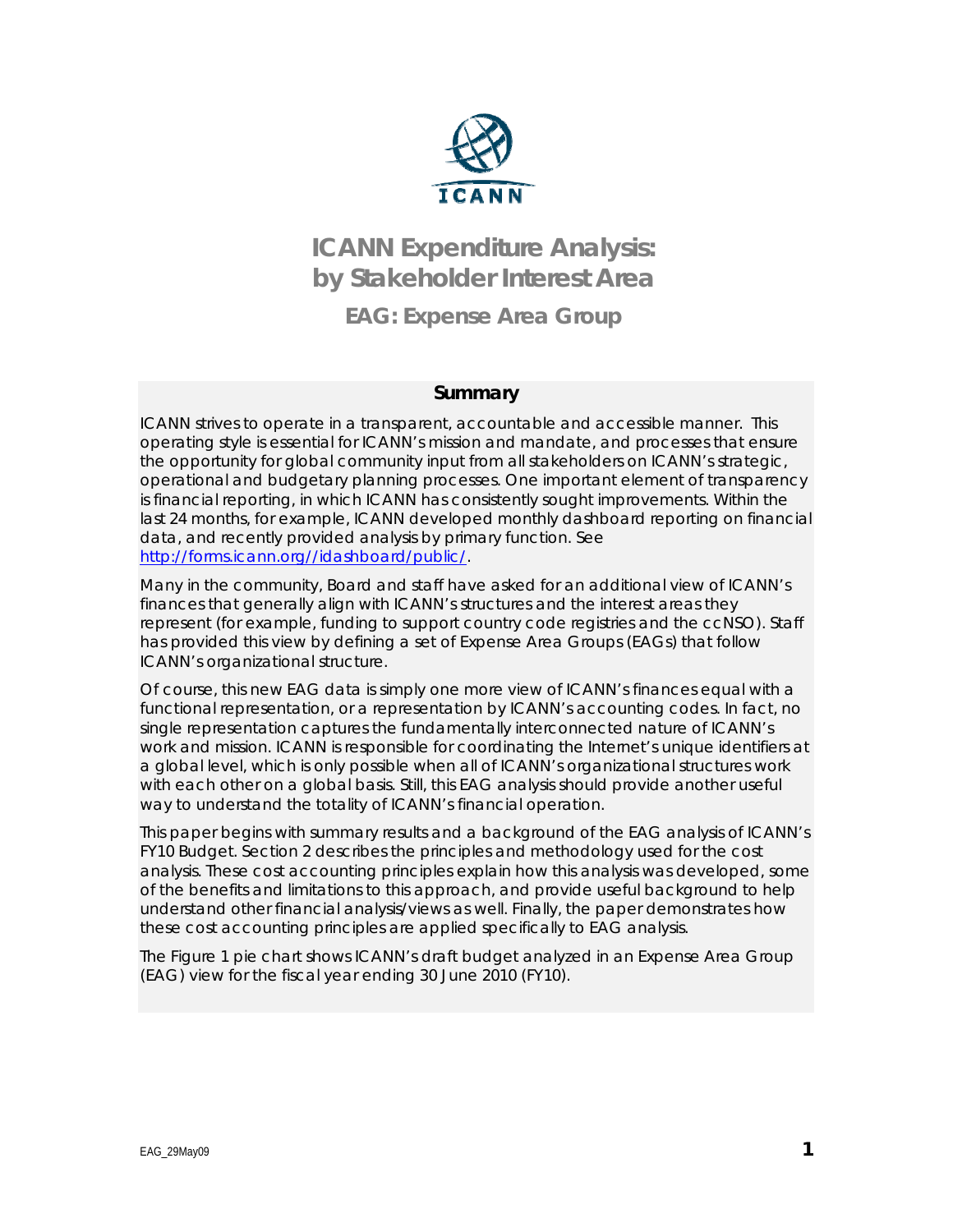

# **ICANN Expenditure Analysis: by Stakeholder Interest Area EAG: Expense Area Group**

## **Summary**

ICANN strives to operate in a transparent, accountable and accessible manner. This operating style is essential for ICANN's mission and mandate, and processes that ensure the opportunity for global community input from all stakeholders on ICANN's strategic, operational and budgetary planning processes. One important element of transparency is financial reporting, in which ICANN has consistently sought improvements. Within the last 24 months, for example, ICANN developed monthly dashboard reporting on financial data, and recently provided analysis by primary function. See http://forms.icann.org//idashboard/public/.

Many in the community, Board and staff have asked for an additional view of ICANN's finances that generally align with ICANN's structures and the interest areas they represent (for example, funding to support country code registries and the ccNSO). Staff has provided this view by defining a set of Expense Area Groups (EAGs) that follow ICANN's organizational structure.

Of course, this new EAG data is simply one more view of ICANN's finances equal with a functional representation, or a representation by ICANN's accounting codes. In fact, no single representation captures the fundamentally interconnected nature of ICANN's work and mission. ICANN is responsible for coordinating the Internet's unique identifiers at a global level, which is only possible when all of ICANN's organizational structures work with each other on a global basis. Still, this EAG analysis should provide another useful way to understand the totality of ICANN's financial operation.

This paper begins with summary results and a background of the EAG analysis of ICANN's FY10 Budget. Section 2 describes the principles and methodology used for the cost analysis. These cost accounting principles explain how this analysis was developed, some of the benefits and limitations to this approach, and provide useful background to help understand other financial analysis/views as well. Finally, the paper demonstrates how these cost accounting principles are applied specifically to EAG analysis.

The Figure 1 pie chart shows ICANN's draft budget analyzed in an Expense Area Group (EAG) view for the fiscal year ending 30 June 2010 (FY10).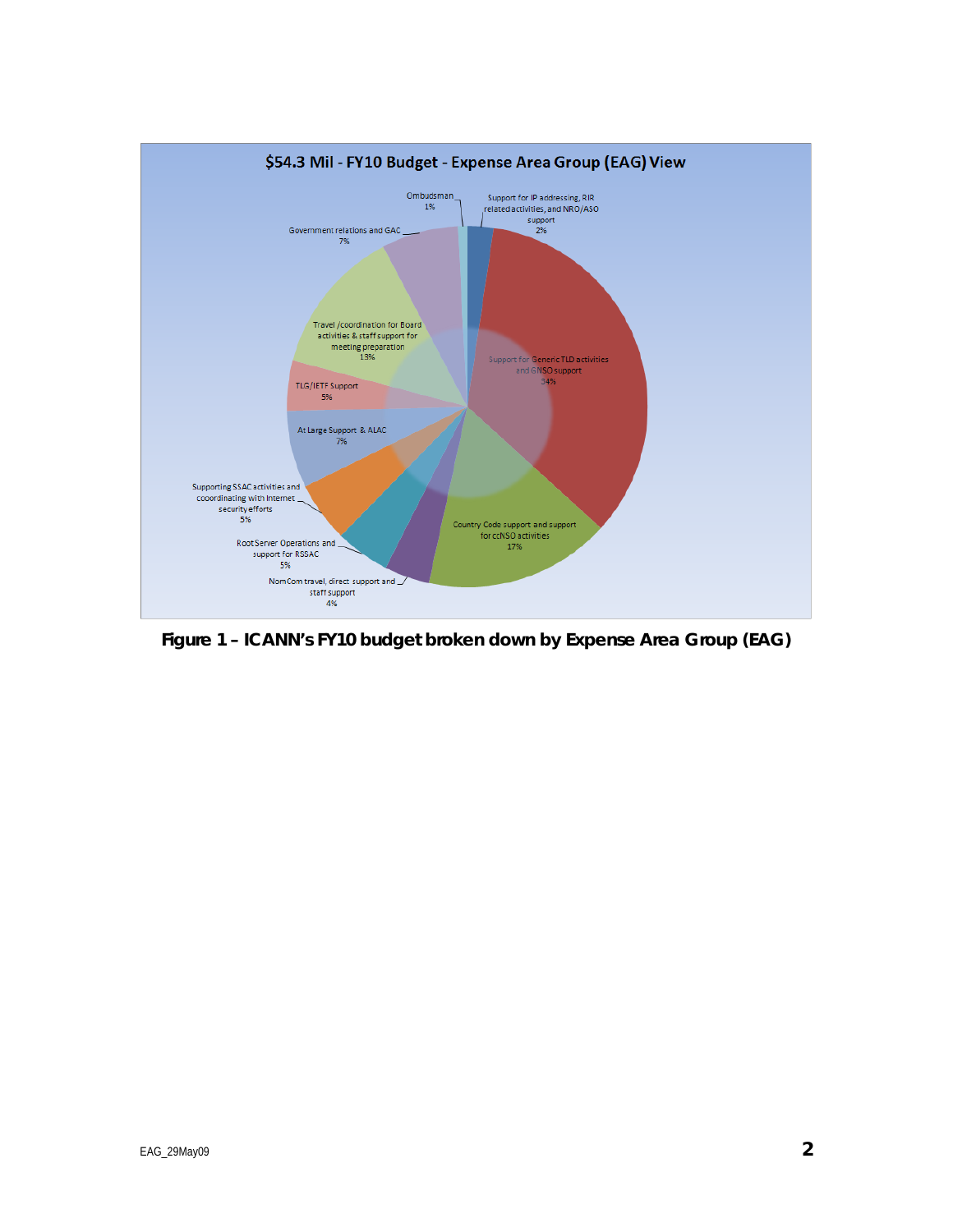

**Figure 1 – ICANN's FY10 budget broken down by Expense Area Group (EAG)**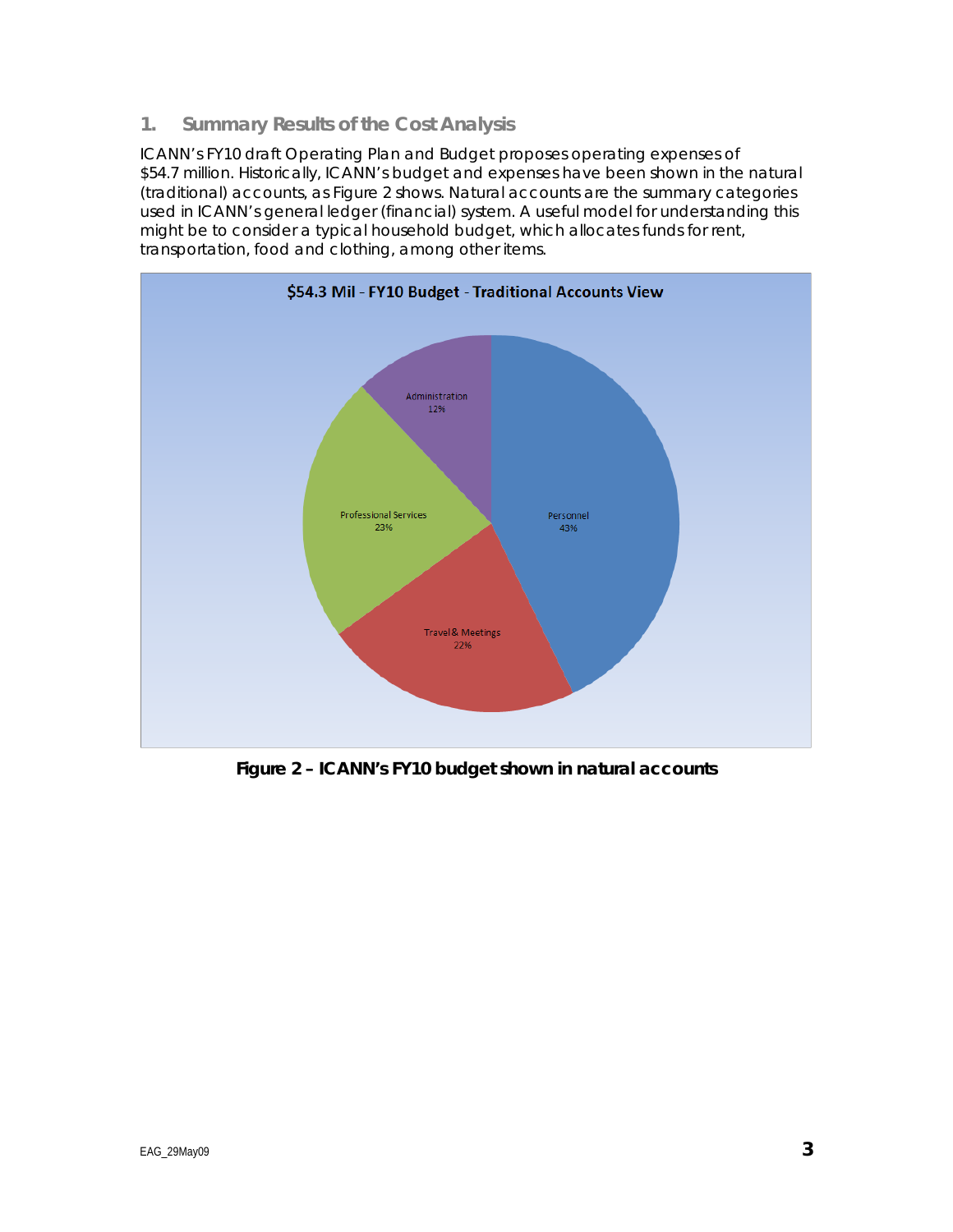## **1. Summary Results of the Cost Analysis**

ICANN's FY10 draft Operating Plan and Budget proposes operating expenses of \$54.7 million. Historically, ICANN's budget and expenses have been shown in the natural (traditional) accounts, as Figure 2 shows. Natural accounts are the summary categories used in ICANN's general ledger (financial) system. A useful model for understanding this might be to consider a typical household budget, which allocates funds for rent, transportation, food and clothing, among other items.



**Figure 2 – ICANN's FY10 budget shown in natural accounts**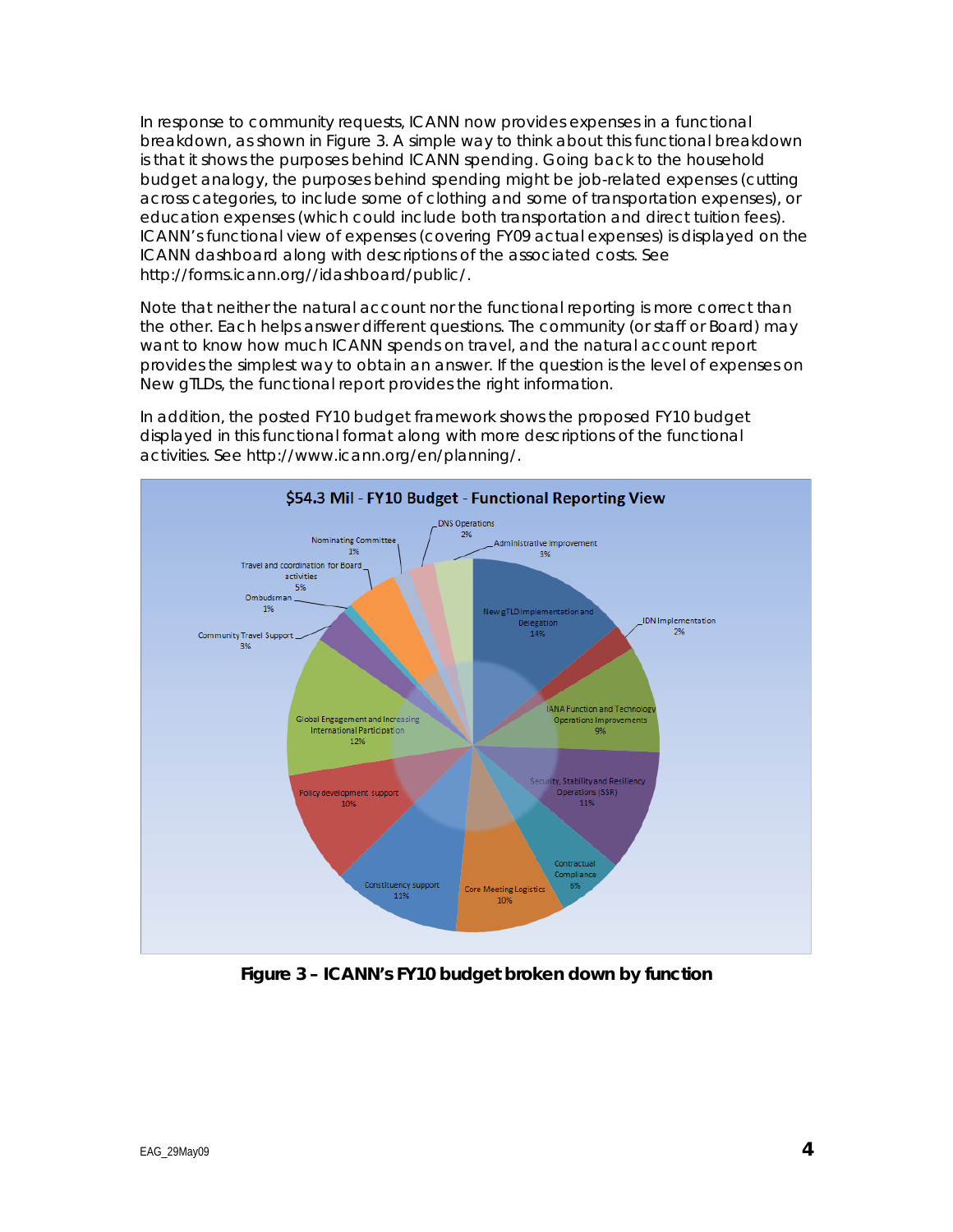In response to community requests, ICANN now provides expenses in a functional breakdown, as shown in Figure 3. A simple way to think about this functional breakdown is that it shows the purposes behind ICANN spending. Going back to the household budget analogy, the purposes behind spending might be job-related expenses (cutting across categories, to include some of clothing and some of transportation expenses), or education expenses (which could include both transportation and direct tuition fees). ICANN's functional view of expenses (covering FY09 actual expenses) is displayed on the ICANN dashboard along with descriptions of the associated costs. See http://forms.icann.org//idashboard/public/.

Note that neither the natural account nor the functional reporting is more correct than the other. Each helps answer different questions. The community (or staff or Board) may want to know how much ICANN spends on travel, and the natural account report provides the simplest way to obtain an answer. If the question is the level of expenses on New gTLDs, the functional report provides the right information.



In addition, the posted FY10 budget framework shows the proposed FY10 budget displayed in this functional format along with more descriptions of the functional activities. See http://www.icann.org/en/planning/.

**Figure 3 – ICANN's FY10 budget broken down by function**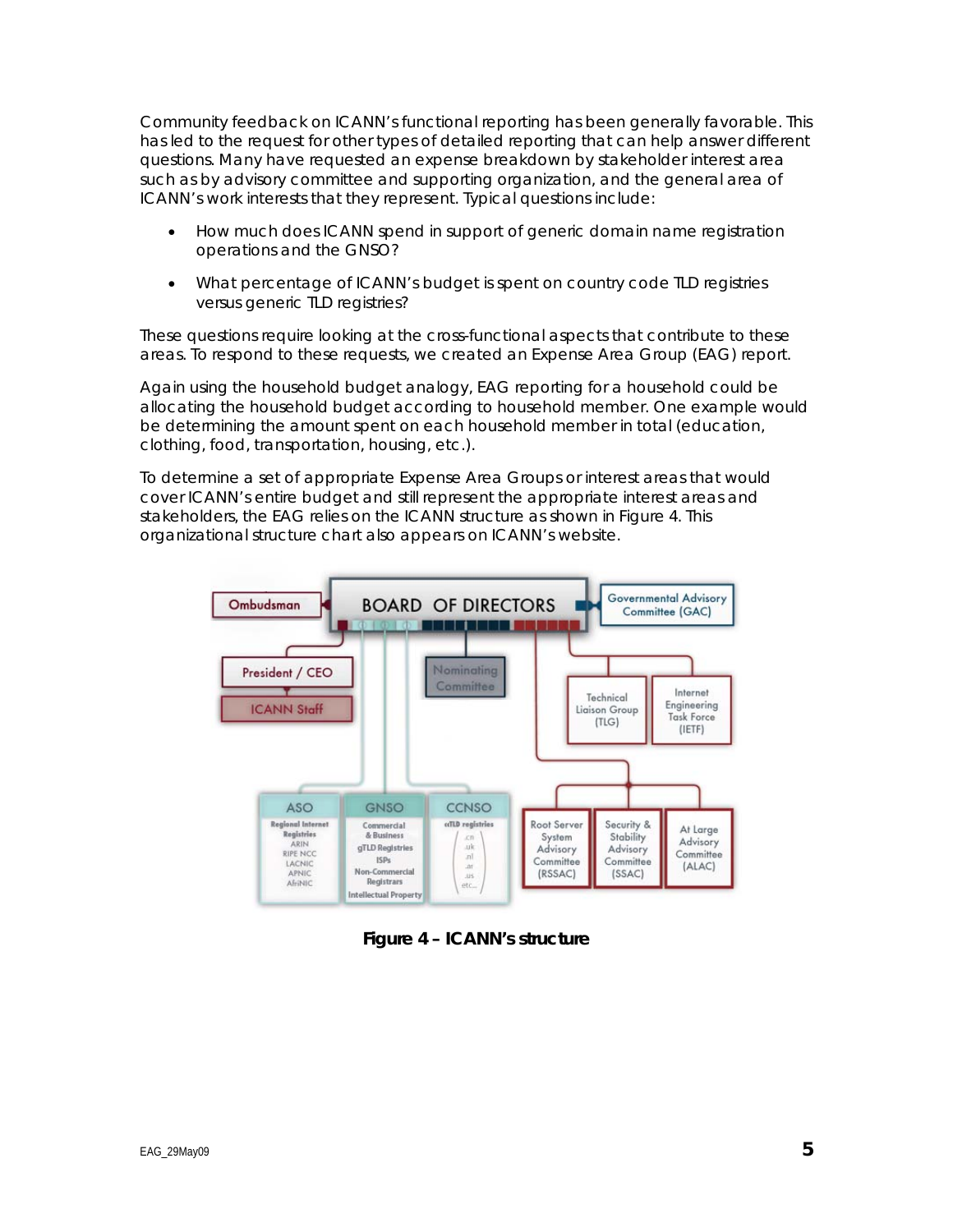Community feedback on ICANN's functional reporting has been generally favorable. This has led to the request for other types of detailed reporting that can help answer different questions. Many have requested an expense breakdown by stakeholder interest area such as by advisory committee and supporting organization, and the general area of ICANN's work interests that they represent. Typical questions include:

- How much does ICANN spend in support of generic domain name registration operations and the GNSO?
- What percentage of ICANN's budget is spent on country code TLD registries versus generic TLD registries?

These questions require looking at the cross-functional aspects that contribute to these areas. To respond to these requests, we created an Expense Area Group (EAG) report.

Again using the household budget analogy, EAG reporting for a household could be allocating the household budget according to household member. One example would be determining the amount spent on each household member in total (education, clothing, food, transportation, housing, etc.).

To determine a set of appropriate Expense Area Groups or interest areas that would cover ICANN's entire budget and still represent the appropriate interest areas and stakeholders, the EAG relies on the ICANN structure as shown in Figure 4. This organizational structure chart also appears on ICANN's website.



**Figure 4 – ICANN's structure**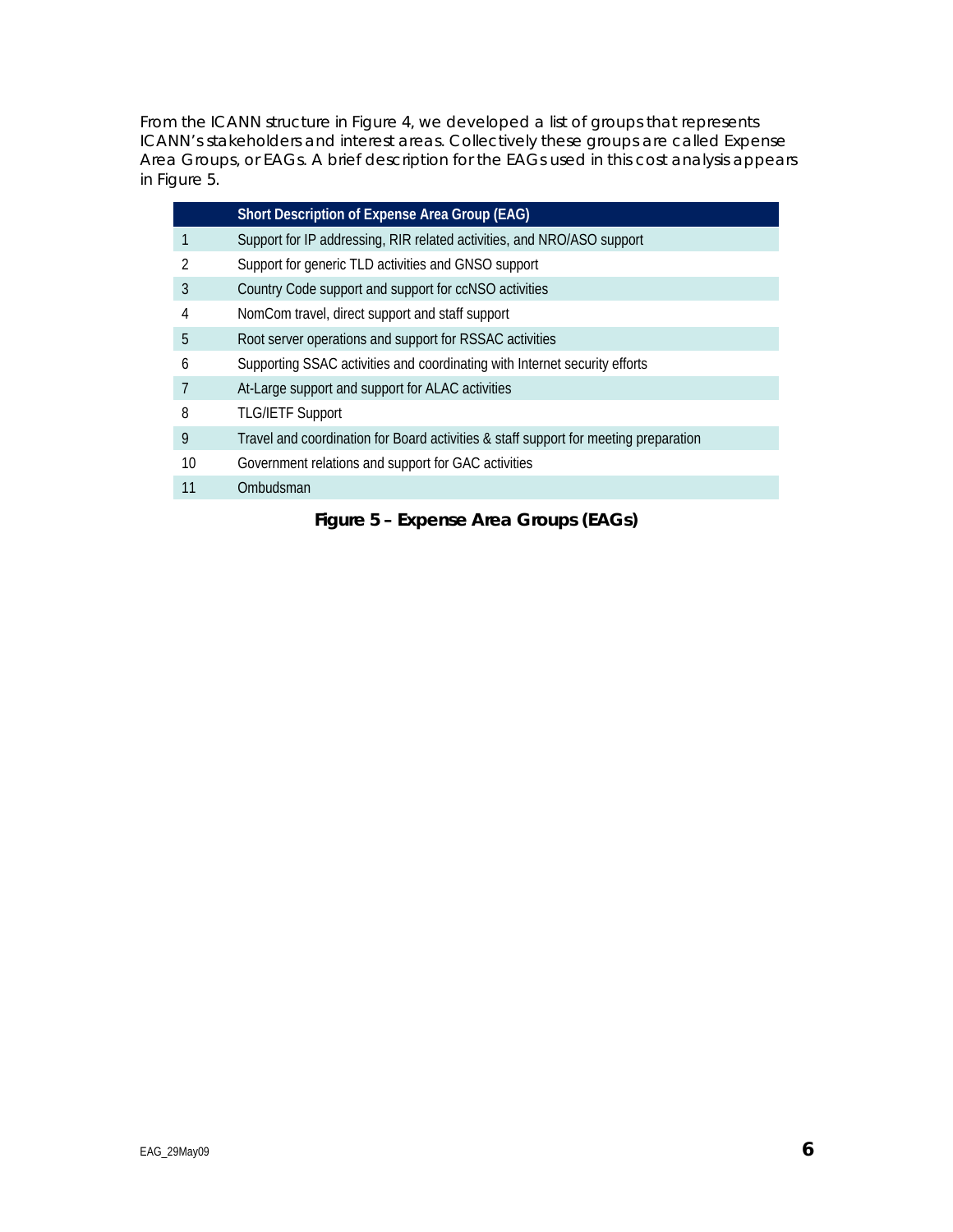From the ICANN structure in Figure 4, we developed a list of groups that represents ICANN's stakeholders and interest areas. Collectively these groups are called Expense Area Groups, or EAGs. A brief description for the EAGs used in this cost analysis appears in Figure 5.

|    | Short Description of Expense Area Group (EAG)                                        |
|----|--------------------------------------------------------------------------------------|
|    | Support for IP addressing, RIR related activities, and NRO/ASO support               |
| 2  | Support for generic TLD activities and GNSO support                                  |
| 3  | Country Code support and support for ccNSO activities                                |
| 4  | NomCom travel, direct support and staff support                                      |
| 5  | Root server operations and support for RSSAC activities                              |
| 6  | Supporting SSAC activities and coordinating with Internet security efforts           |
|    | At-Large support and support for ALAC activities                                     |
| 8  | <b>TLG/IETF Support</b>                                                              |
| 9  | Travel and coordination for Board activities & staff support for meeting preparation |
| 10 | Government relations and support for GAC activities                                  |
| 11 | Ombudsman                                                                            |
|    |                                                                                      |

**Figure 5 – Expense Area Groups (EAGs)**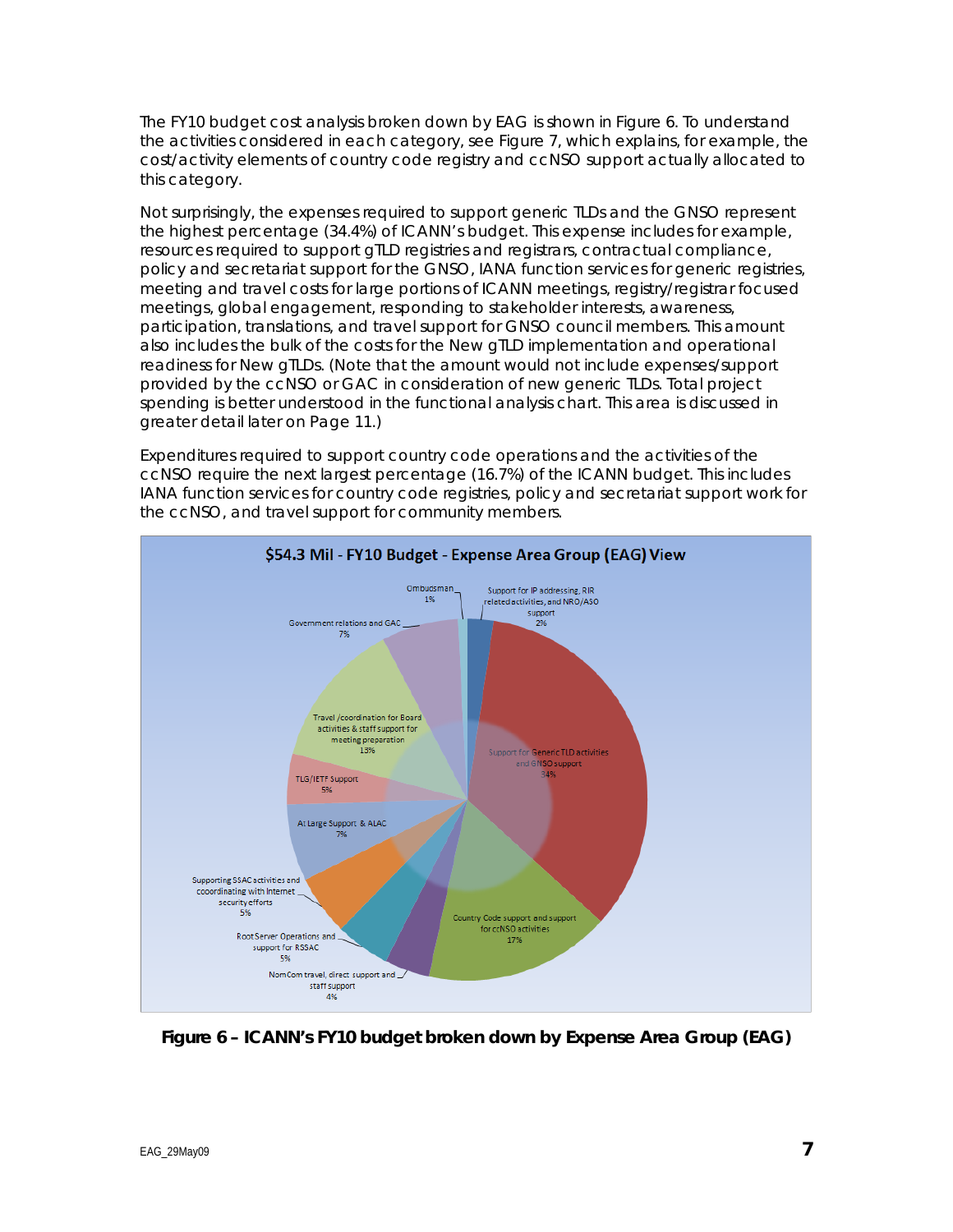The FY10 budget cost analysis broken down by EAG is shown in Figure 6. To understand the activities considered in each category, see Figure 7, which explains, for example, the cost/activity elements of country code registry and ccNSO support actually allocated to this category.

Not surprisingly, the expenses required to support generic TLDs and the GNSO represent the highest percentage (34.4%) of ICANN's budget. This expense includes for example, resources required to support gTLD registries and registrars, contractual compliance, policy and secretariat support for the GNSO, IANA function services for generic registries, meeting and travel costs for large portions of ICANN meetings, registry/registrar focused meetings, global engagement, responding to stakeholder interests, awareness, participation, translations, and travel support for GNSO council members. This amount also includes the bulk of the costs for the New gTLD implementation and operational readiness for New gTLDs. (Note that the amount would not include expenses/support provided by the ccNSO or GAC in consideration of new generic TLDs. Total project spending is better understood in the functional analysis chart. This area is discussed in greater detail later on Page 11.)

Expenditures required to support country code operations and the activities of the ccNSO require the next largest percentage (16.7%) of the ICANN budget. This includes IANA function services for country code registries, policy and secretariat support work for the ccNSO, and travel support for community members.



**Figure 6 – ICANN's FY10 budget broken down by Expense Area Group (EAG)**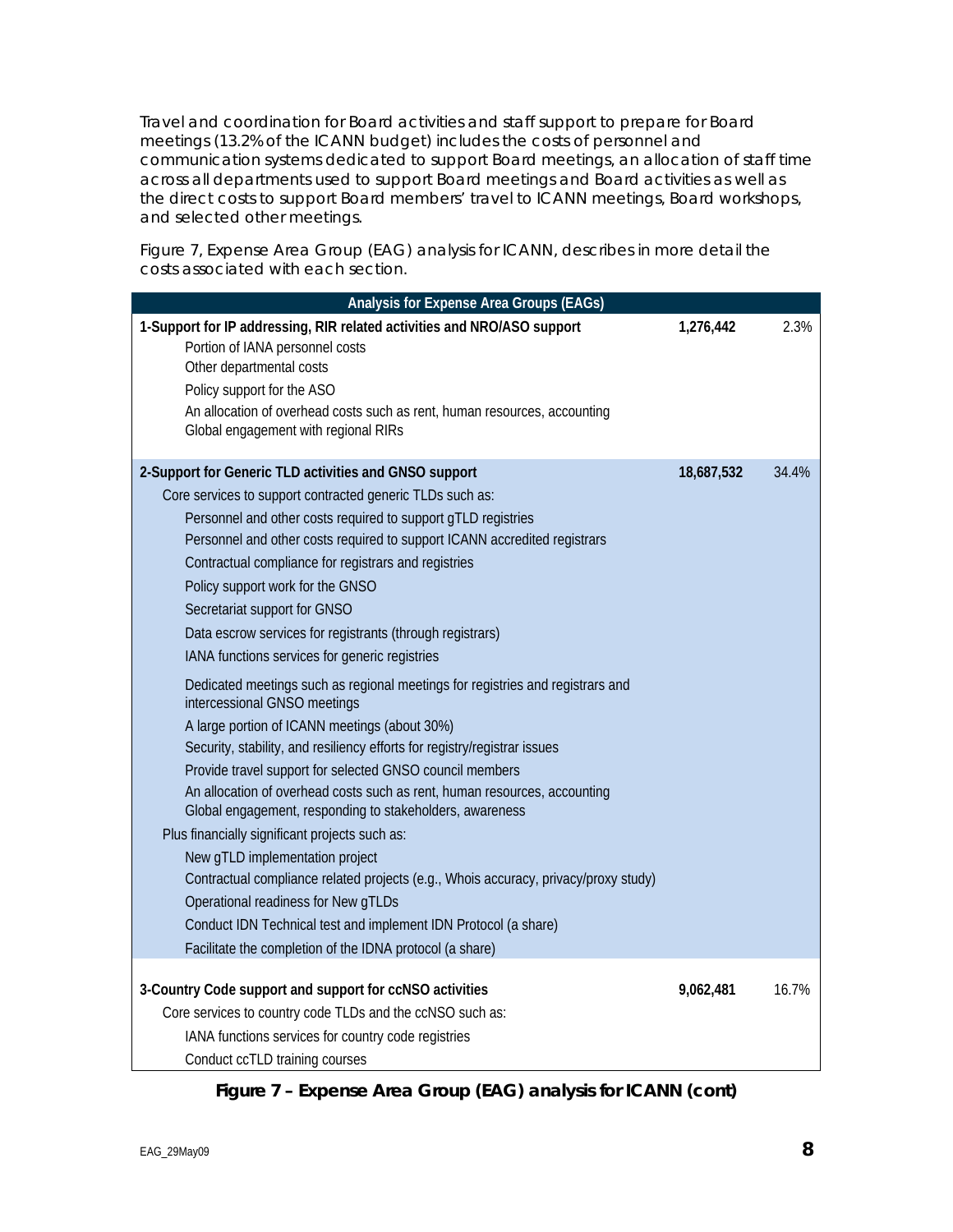Travel and coordination for Board activities and staff support to prepare for Board meetings (13.2% of the ICANN budget) includes the costs of personnel and communication systems dedicated to support Board meetings, an allocation of staff time across all departments used to support Board meetings and Board activities as well as the direct costs to support Board members' travel to ICANN meetings, Board workshops, and selected other meetings.

Figure 7, Expense Area Group (EAG) analysis for ICANN, describes in more detail the costs associated with each section.

| Analysis for Expense Area Groups (EAGs)                                                                                                                                                                                                                                                                                                                                                                                                                                                                                                                                                                                                                                                                                                                                                                                                                                                                                                                                                                                                                                                                                                                                                                                                                                                                            |            |       |
|--------------------------------------------------------------------------------------------------------------------------------------------------------------------------------------------------------------------------------------------------------------------------------------------------------------------------------------------------------------------------------------------------------------------------------------------------------------------------------------------------------------------------------------------------------------------------------------------------------------------------------------------------------------------------------------------------------------------------------------------------------------------------------------------------------------------------------------------------------------------------------------------------------------------------------------------------------------------------------------------------------------------------------------------------------------------------------------------------------------------------------------------------------------------------------------------------------------------------------------------------------------------------------------------------------------------|------------|-------|
| 1-Support for IP addressing, RIR related activities and NRO/ASO support<br>Portion of IANA personnel costs<br>Other departmental costs<br>Policy support for the ASO<br>An allocation of overhead costs such as rent, human resources, accounting<br>Global engagement with regional RIRs                                                                                                                                                                                                                                                                                                                                                                                                                                                                                                                                                                                                                                                                                                                                                                                                                                                                                                                                                                                                                          | 1,276,442  | 2.3%  |
| 2-Support for Generic TLD activities and GNSO support<br>Core services to support contracted generic TLDs such as:<br>Personnel and other costs required to support gTLD registries<br>Personnel and other costs required to support ICANN accredited registrars<br>Contractual compliance for registrars and registries<br>Policy support work for the GNSO<br>Secretariat support for GNSO<br>Data escrow services for registrants (through registrars)<br>IANA functions services for generic registries<br>Dedicated meetings such as regional meetings for registries and registrars and<br>intercessional GNSO meetings<br>A large portion of ICANN meetings (about 30%)<br>Security, stability, and resiliency efforts for registry/registrar issues<br>Provide travel support for selected GNSO council members<br>An allocation of overhead costs such as rent, human resources, accounting<br>Global engagement, responding to stakeholders, awareness<br>Plus financially significant projects such as:<br>New gTLD implementation project<br>Contractual compliance related projects (e.g., Whois accuracy, privacy/proxy study)<br>Operational readiness for New gTLDs<br>Conduct IDN Technical test and implement IDN Protocol (a share)<br>Facilitate the completion of the IDNA protocol (a share) | 18,687,532 | 34.4% |
| 3-Country Code support and support for ccNSO activities<br>Core services to country code TLDs and the ccNSO such as:<br>IANA functions services for country code registries<br>Conduct ccTLD training courses                                                                                                                                                                                                                                                                                                                                                                                                                                                                                                                                                                                                                                                                                                                                                                                                                                                                                                                                                                                                                                                                                                      | 9,062,481  | 16.7% |

**Figure 7 – Expense Area Group (EAG) analysis for ICANN (cont)**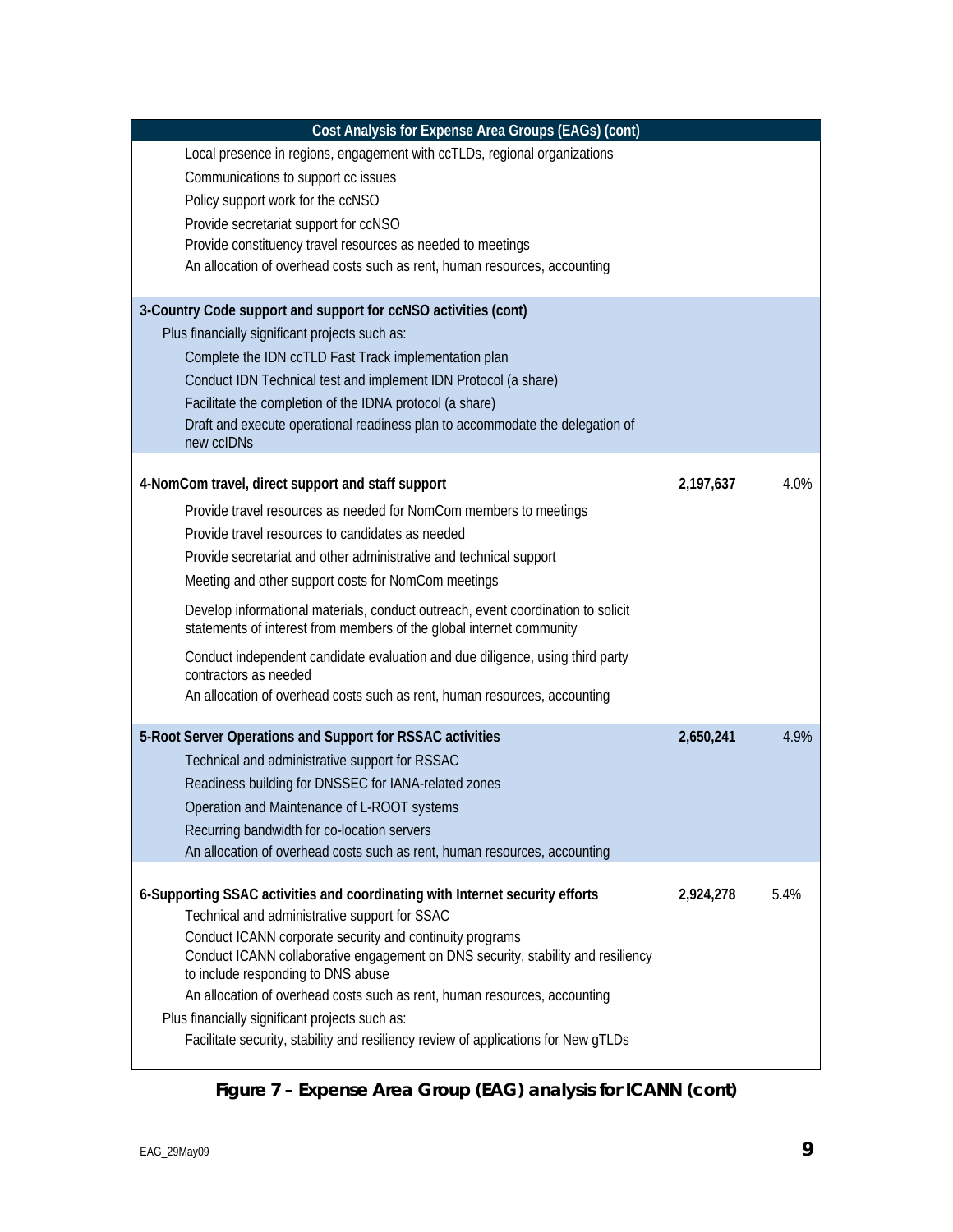| Cost Analysis for Expense Area Groups (EAGs) (cont)                                                                                                      |           |      |
|----------------------------------------------------------------------------------------------------------------------------------------------------------|-----------|------|
| Local presence in regions, engagement with ccTLDs, regional organizations                                                                                |           |      |
| Communications to support cc issues                                                                                                                      |           |      |
| Policy support work for the ccNSO                                                                                                                        |           |      |
| Provide secretariat support for ccNSO                                                                                                                    |           |      |
| Provide constituency travel resources as needed to meetings                                                                                              |           |      |
| An allocation of overhead costs such as rent, human resources, accounting                                                                                |           |      |
|                                                                                                                                                          |           |      |
| 3-Country Code support and support for ccNSO activities (cont)                                                                                           |           |      |
| Plus financially significant projects such as:                                                                                                           |           |      |
| Complete the IDN ccTLD Fast Track implementation plan                                                                                                    |           |      |
| Conduct IDN Technical test and implement IDN Protocol (a share)                                                                                          |           |      |
| Facilitate the completion of the IDNA protocol (a share)                                                                                                 |           |      |
| Draft and execute operational readiness plan to accommodate the delegation of<br>new ccIDNs                                                              |           |      |
|                                                                                                                                                          |           |      |
| 4-NomCom travel, direct support and staff support                                                                                                        | 2,197,637 | 4.0% |
| Provide travel resources as needed for NomCom members to meetings                                                                                        |           |      |
| Provide travel resources to candidates as needed                                                                                                         |           |      |
| Provide secretariat and other administrative and technical support                                                                                       |           |      |
| Meeting and other support costs for NomCom meetings                                                                                                      |           |      |
| Develop informational materials, conduct outreach, event coordination to solicit<br>statements of interest from members of the global internet community |           |      |
| Conduct independent candidate evaluation and due diligence, using third party                                                                            |           |      |
| contractors as needed                                                                                                                                    |           |      |
| An allocation of overhead costs such as rent, human resources, accounting                                                                                |           |      |
| 5-Root Server Operations and Support for RSSAC activities                                                                                                | 2,650,241 | 4.9% |
| Technical and administrative support for RSSAC                                                                                                           |           |      |
| Readiness building for DNSSEC for IANA-related zones                                                                                                     |           |      |
| Operation and Maintenance of L-ROOT systems                                                                                                              |           |      |
| Recurring bandwidth for co-location servers                                                                                                              |           |      |
| An allocation of overhead costs such as rent, human resources, accounting                                                                                |           |      |
| 6-Supporting SSAC activities and coordinating with Internet security efforts                                                                             | 2,924,278 | 5.4% |
| Technical and administrative support for SSAC                                                                                                            |           |      |
| Conduct ICANN corporate security and continuity programs                                                                                                 |           |      |
| Conduct ICANN collaborative engagement on DNS security, stability and resiliency                                                                         |           |      |
| to include responding to DNS abuse                                                                                                                       |           |      |
| An allocation of overhead costs such as rent, human resources, accounting                                                                                |           |      |
| Plus financially significant projects such as:                                                                                                           |           |      |
| Facilitate security, stability and resiliency review of applications for New gTLDs                                                                       |           |      |
|                                                                                                                                                          |           |      |

**Figure 7 – Expense Area Group (EAG) analysis for ICANN (cont)**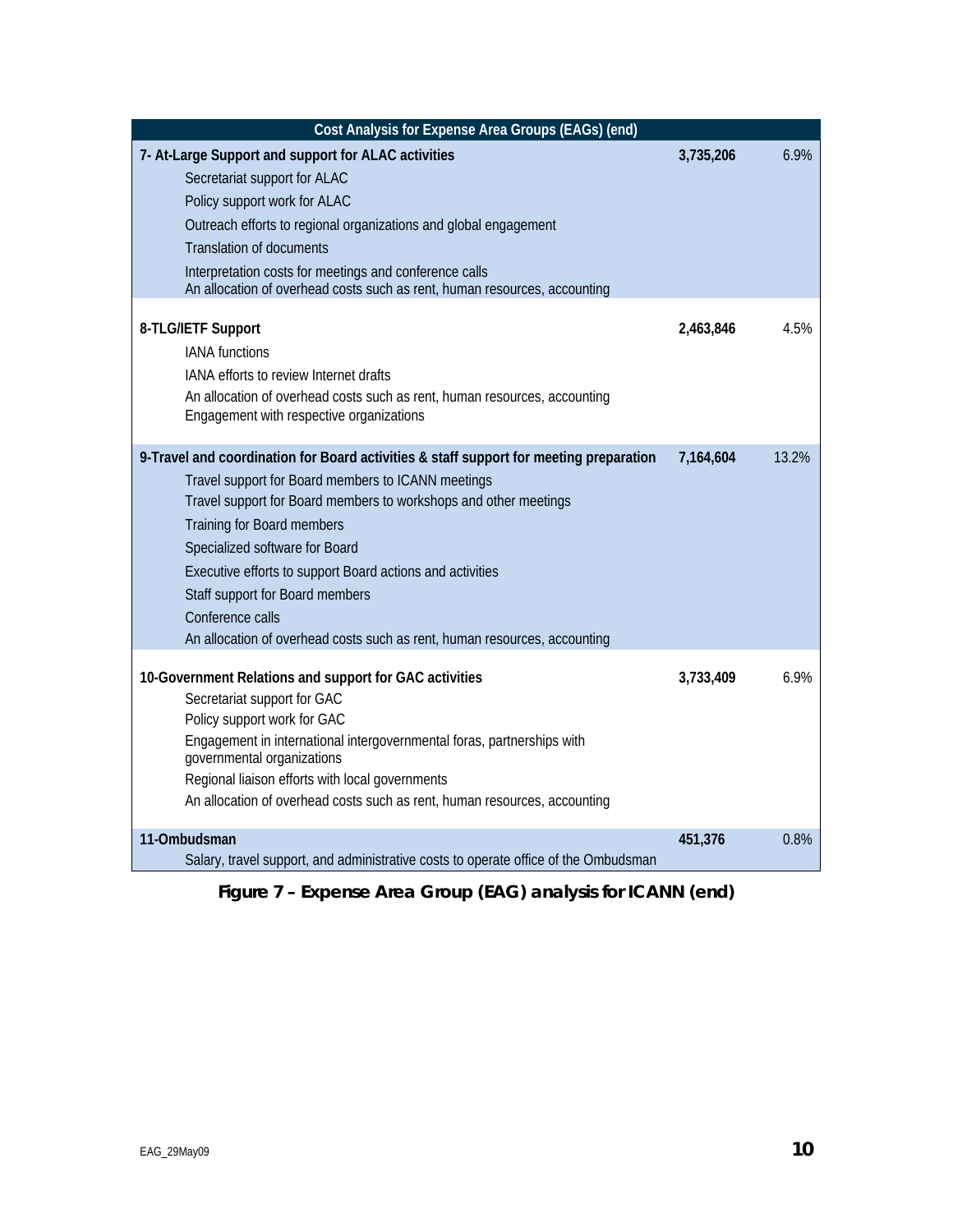| 7- At-Large Support and support for ALAC activities<br>3,735,206<br>6.9%<br>Secretariat support for ALAC<br>Policy support work for ALAC<br>Outreach efforts to regional organizations and global engagement<br><b>Translation of documents</b><br>Interpretation costs for meetings and conference calls<br>An allocation of overhead costs such as rent, human resources, accounting<br>8-TLG/IETF Support<br>2,463,846<br>4.5%<br><b>IANA</b> functions<br><b>IANA</b> efforts to review Internet drafts |
|-------------------------------------------------------------------------------------------------------------------------------------------------------------------------------------------------------------------------------------------------------------------------------------------------------------------------------------------------------------------------------------------------------------------------------------------------------------------------------------------------------------|
|                                                                                                                                                                                                                                                                                                                                                                                                                                                                                                             |
|                                                                                                                                                                                                                                                                                                                                                                                                                                                                                                             |
|                                                                                                                                                                                                                                                                                                                                                                                                                                                                                                             |
|                                                                                                                                                                                                                                                                                                                                                                                                                                                                                                             |
|                                                                                                                                                                                                                                                                                                                                                                                                                                                                                                             |
|                                                                                                                                                                                                                                                                                                                                                                                                                                                                                                             |
|                                                                                                                                                                                                                                                                                                                                                                                                                                                                                                             |
|                                                                                                                                                                                                                                                                                                                                                                                                                                                                                                             |
|                                                                                                                                                                                                                                                                                                                                                                                                                                                                                                             |
|                                                                                                                                                                                                                                                                                                                                                                                                                                                                                                             |
| An allocation of overhead costs such as rent, human resources, accounting                                                                                                                                                                                                                                                                                                                                                                                                                                   |
| Engagement with respective organizations                                                                                                                                                                                                                                                                                                                                                                                                                                                                    |
|                                                                                                                                                                                                                                                                                                                                                                                                                                                                                                             |
| 9-Travel and coordination for Board activities & staff support for meeting preparation<br>13.2%<br>7,164,604                                                                                                                                                                                                                                                                                                                                                                                                |
| Travel support for Board members to ICANN meetings                                                                                                                                                                                                                                                                                                                                                                                                                                                          |
| Travel support for Board members to workshops and other meetings                                                                                                                                                                                                                                                                                                                                                                                                                                            |
| Training for Board members                                                                                                                                                                                                                                                                                                                                                                                                                                                                                  |
| Specialized software for Board                                                                                                                                                                                                                                                                                                                                                                                                                                                                              |
| Executive efforts to support Board actions and activities                                                                                                                                                                                                                                                                                                                                                                                                                                                   |
| Staff support for Board members                                                                                                                                                                                                                                                                                                                                                                                                                                                                             |
| Conference calls                                                                                                                                                                                                                                                                                                                                                                                                                                                                                            |
| An allocation of overhead costs such as rent, human resources, accounting                                                                                                                                                                                                                                                                                                                                                                                                                                   |
| 6.9%<br>10-Government Relations and support for GAC activities<br>3,733,409                                                                                                                                                                                                                                                                                                                                                                                                                                 |
| Secretariat support for GAC                                                                                                                                                                                                                                                                                                                                                                                                                                                                                 |
| Policy support work for GAC                                                                                                                                                                                                                                                                                                                                                                                                                                                                                 |
| Engagement in international intergovernmental foras, partnerships with                                                                                                                                                                                                                                                                                                                                                                                                                                      |
| governmental organizations                                                                                                                                                                                                                                                                                                                                                                                                                                                                                  |
| Regional liaison efforts with local governments                                                                                                                                                                                                                                                                                                                                                                                                                                                             |
| An allocation of overhead costs such as rent, human resources, accounting                                                                                                                                                                                                                                                                                                                                                                                                                                   |
|                                                                                                                                                                                                                                                                                                                                                                                                                                                                                                             |
| 11-Ombudsman<br>451,376<br>0.8%<br>Salary, travel support, and administrative costs to operate office of the Ombudsman                                                                                                                                                                                                                                                                                                                                                                                      |

**Figure 7 – Expense Area Group (EAG) analysis for ICANN (end)**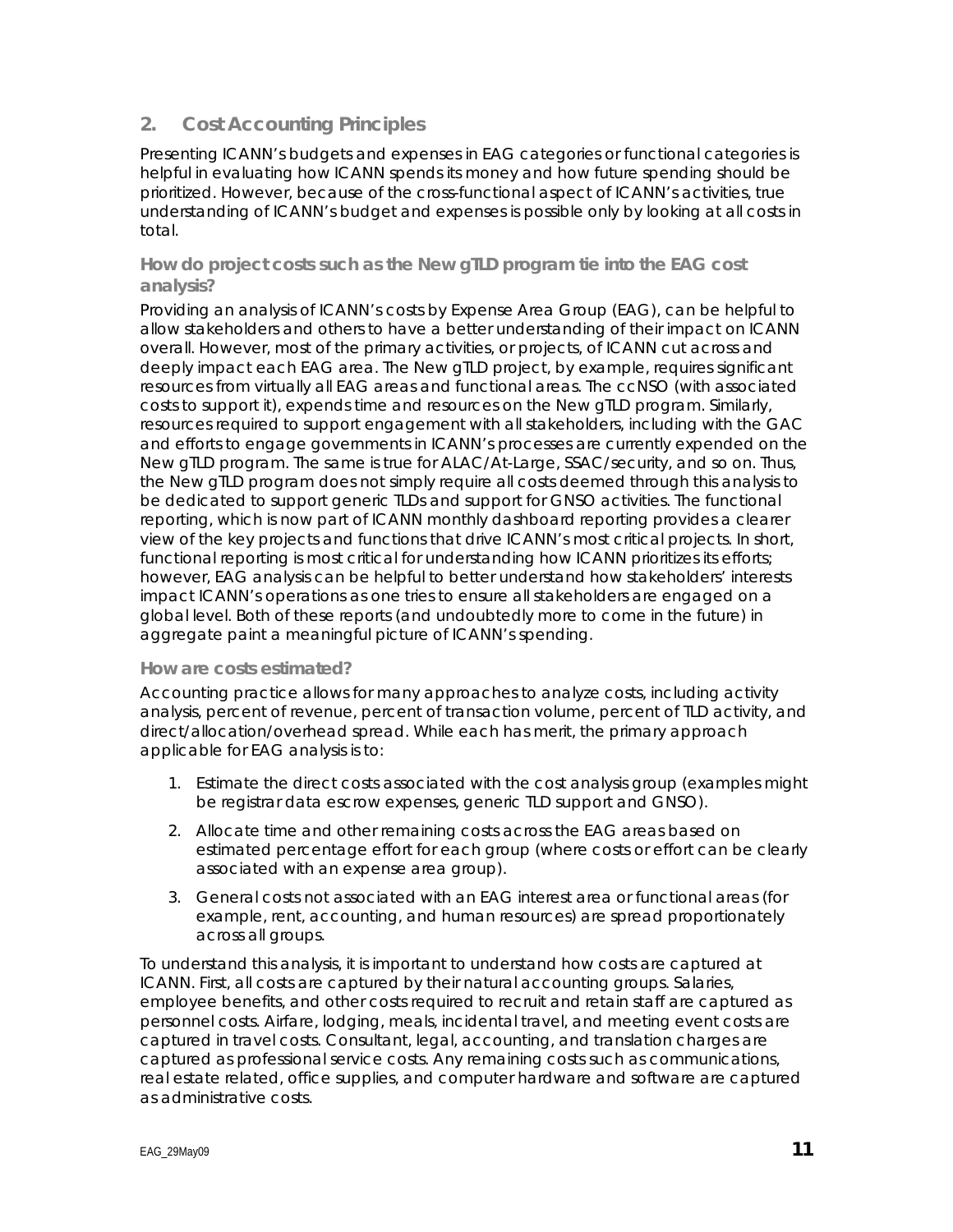# **2. Cost Accounting Principles**

Presenting ICANN's budgets and expenses in EAG categories or functional categories is helpful in evaluating how ICANN spends its money and how future spending should be prioritized. However, because of the cross-functional aspect of ICANN's activities, true understanding of ICANN's budget and expenses is possible only by looking at all costs in total.

**How do project costs such as the New gTLD program tie into the EAG cost analysis?** 

Providing an analysis of ICANN's costs by Expense Area Group (EAG), can be helpful to allow stakeholders and others to have a better understanding of their impact on ICANN overall. However, most of the primary activities, or projects, of ICANN cut across and deeply impact each EAG area. The New gTLD project, by example, requires significant resources from virtually all EAG areas and functional areas. The ccNSO (with associated costs to support it), expends time and resources on the New gTLD program. Similarly, resources required to support engagement with all stakeholders, including with the GAC and efforts to engage governments in ICANN's processes are currently expended on the New gTLD program. The same is true for ALAC/At-Large, SSAC/security, and so on. Thus, the New gTLD program does not simply require all costs deemed through this analysis to be dedicated to support generic TLDs and support for GNSO activities. The functional reporting, which is now part of ICANN monthly dashboard reporting provides a clearer view of the key projects and functions that drive ICANN's most critical projects. In short, functional reporting is most critical for understanding how ICANN prioritizes its efforts; however, EAG analysis can be helpful to better understand how stakeholders' interests impact ICANN's operations as one tries to ensure all stakeholders are engaged on a global level. Both of these reports (and undoubtedly more to come in the future) in aggregate paint a meaningful picture of ICANN's spending.

#### **How are costs estimated?**

Accounting practice allows for many approaches to analyze costs, including activity analysis, percent of revenue, percent of transaction volume, percent of TLD activity, and direct/allocation/overhead spread. While each has merit, the primary approach applicable for EAG analysis is to:

- 1. Estimate the direct costs associated with the cost analysis group (examples might be registrar data escrow expenses, generic TLD support and GNSO).
- 2. Allocate time and other remaining costs across the EAG areas based on estimated percentage effort for each group (where costs or effort can be clearly associated with an expense area group).
- 3. General costs not associated with an EAG interest area or functional areas (for example, rent, accounting, and human resources) are spread proportionately across all groups.

To understand this analysis, it is important to understand how costs are captured at ICANN. First, all costs are captured by their natural accounting groups. Salaries, employee benefits, and other costs required to recruit and retain staff are captured as personnel costs. Airfare, lodging, meals, incidental travel, and meeting event costs are captured in travel costs. Consultant, legal, accounting, and translation charges are captured as professional service costs. Any remaining costs such as communications, real estate related, office supplies, and computer hardware and software are captured as administrative costs.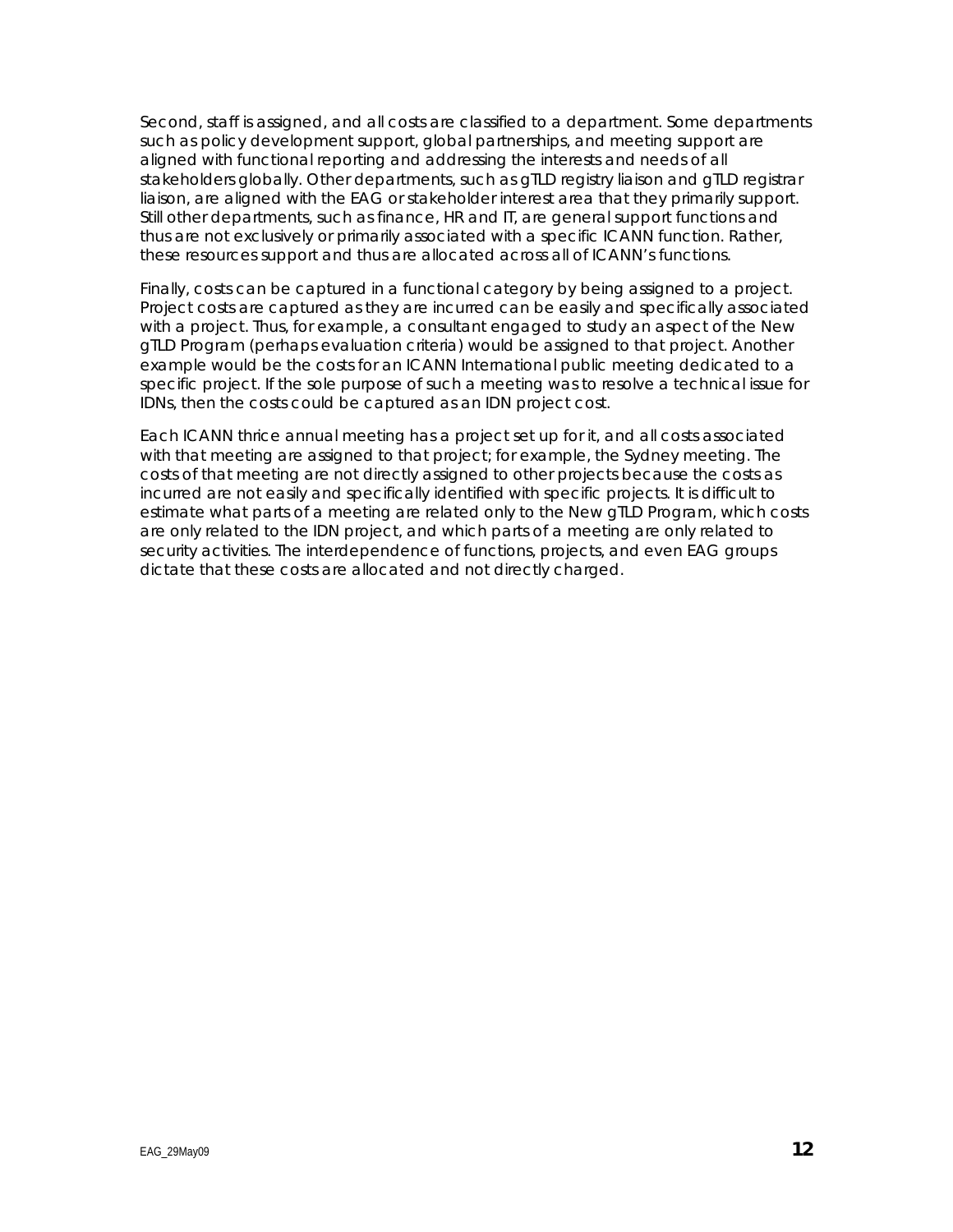Second, staff is assigned, and all costs are classified to a department. Some departments such as policy development support, global partnerships, and meeting support are aligned with functional reporting and addressing the interests and needs of all stakeholders globally. Other departments, such as gTLD registry liaison and gTLD registrar liaison, are aligned with the EAG or stakeholder interest area that they primarily support. Still other departments, such as finance, HR and IT, are general support functions and thus are not exclusively or primarily associated with a specific ICANN function. Rather, these resources support and thus are allocated across all of ICANN's functions.

Finally, costs can be captured in a functional category by being assigned to a project. Project costs are captured as they are incurred can be easily and specifically associated with a project. Thus, for example, a consultant engaged to study an aspect of the New gTLD Program (perhaps evaluation criteria) would be assigned to that project. Another example would be the costs for an ICANN International public meeting dedicated to a specific project. If the sole purpose of such a meeting was to resolve a technical issue for IDNs, then the costs could be captured as an IDN project cost.

Each ICANN thrice annual meeting has a project set up for it, and all costs associated with that meeting are assigned to that project; for example, the Sydney meeting. The costs of that meeting are not directly assigned to other projects because the costs as incurred are not easily and specifically identified with specific projects. It is difficult to estimate what parts of a meeting are related only to the New gTLD Program, which costs are only related to the IDN project, and which parts of a meeting are only related to security activities. The interdependence of functions, projects, and even EAG groups dictate that these costs are allocated and not directly charged.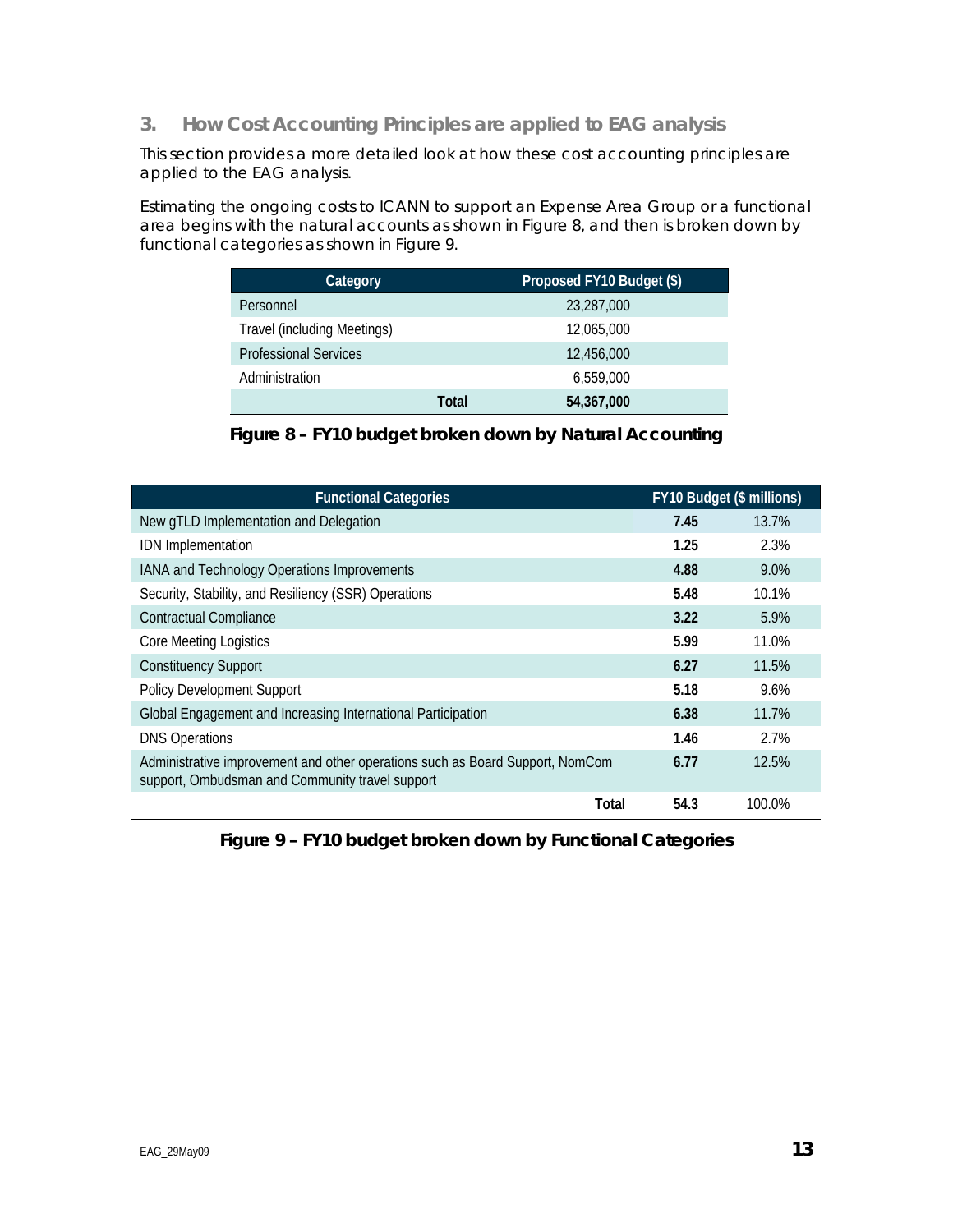**3. How Cost Accounting Principles are applied to EAG analysis** 

This section provides a more detailed look at how these cost accounting principles are applied to the EAG analysis.

Estimating the ongoing costs to ICANN to support an Expense Area Group or a functional area begins with the natural accounts as shown in Figure 8, and then is broken down by functional categories as shown in Figure 9.

| Category                     | Proposed FY10 Budget (\$) |  |  |
|------------------------------|---------------------------|--|--|
| Personnel                    | 23,287,000                |  |  |
| Travel (including Meetings)  | 12.065.000                |  |  |
| <b>Professional Services</b> | 12.456.000                |  |  |
| Administration               | 6.559.000                 |  |  |
| Total                        | 54,367,000                |  |  |

### **Figure 8 – FY10 budget broken down by Natural Accounting**

| <b>Functional Categories</b>                                                                                                     |      | FY10 Budget (\$ millions) |  |
|----------------------------------------------------------------------------------------------------------------------------------|------|---------------------------|--|
| New gTLD Implementation and Delegation                                                                                           | 7.45 | 13.7%                     |  |
| <b>IDN</b> Implementation                                                                                                        | 1.25 | 2.3%                      |  |
| IANA and Technology Operations Improvements                                                                                      | 4.88 | 9.0%                      |  |
| Security, Stability, and Resiliency (SSR) Operations                                                                             | 5.48 | 10.1%                     |  |
| <b>Contractual Compliance</b>                                                                                                    | 3.22 | 5.9%                      |  |
| Core Meeting Logistics                                                                                                           | 5.99 | 11.0%                     |  |
| <b>Constituency Support</b>                                                                                                      | 6.27 | 11.5%                     |  |
| <b>Policy Development Support</b>                                                                                                | 5.18 | 9.6%                      |  |
| Global Engagement and Increasing International Participation                                                                     | 6.38 | 11.7%                     |  |
| <b>DNS Operations</b>                                                                                                            | 1.46 | 2.7%                      |  |
| Administrative improvement and other operations such as Board Support, NomCom<br>support, Ombudsman and Community travel support | 6.77 | 12.5%                     |  |
| Total                                                                                                                            | 54.3 | 100.0%                    |  |

**Figure 9 – FY10 budget broken down by Functional Categories**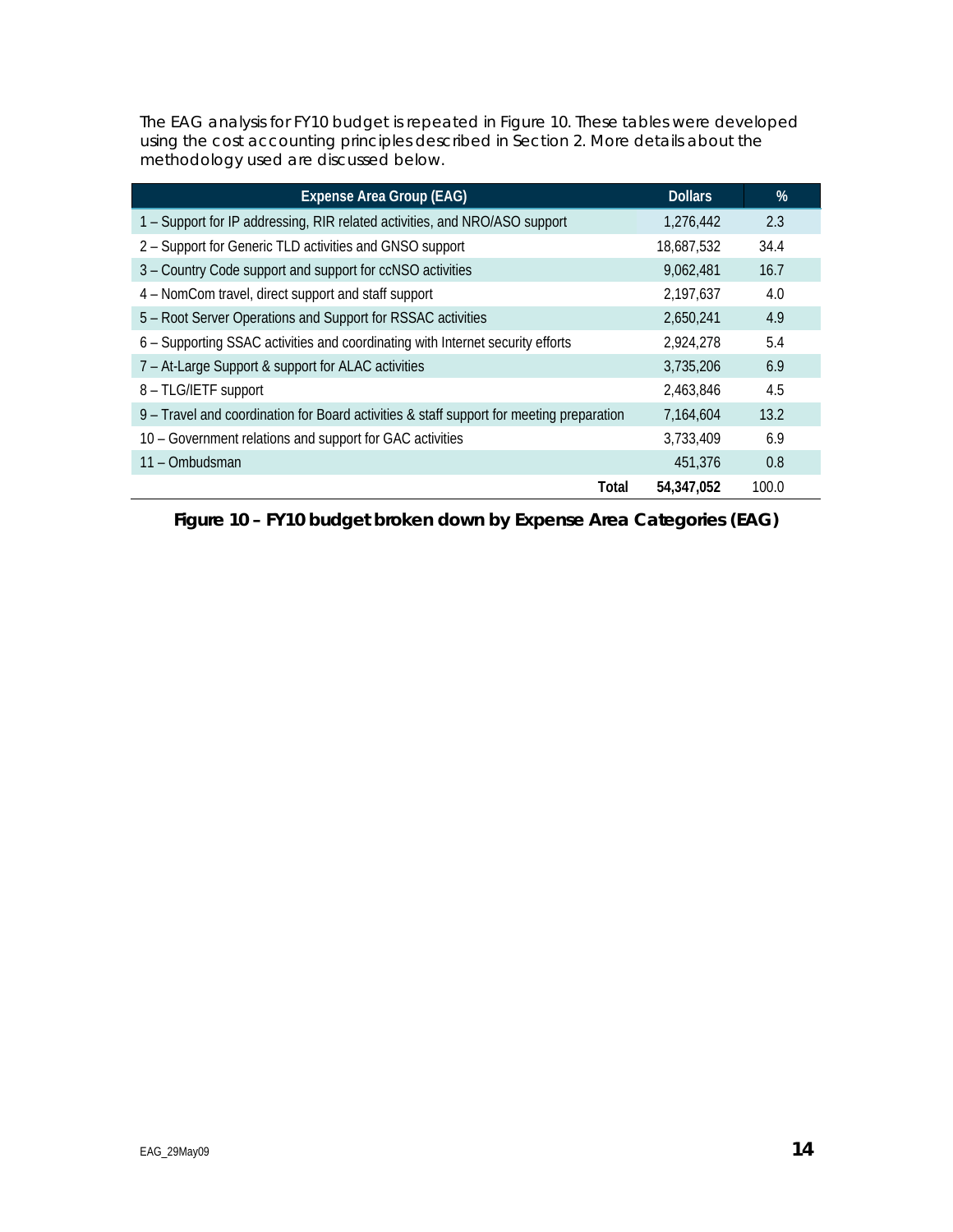The EAG analysis for FY10 budget is repeated in Figure 10. These tables were developed using the cost accounting principles described in Section 2. More details about the methodology used are discussed below.

| <b>Expense Area Group (EAG)</b>                                                          | <b>Dollars</b> | %     |
|------------------------------------------------------------------------------------------|----------------|-------|
| 1 - Support for IP addressing, RIR related activities, and NRO/ASO support               | 1,276,442      | 2.3   |
| 2 - Support for Generic TLD activities and GNSO support                                  | 18,687,532     | 34.4  |
| 3 - Country Code support and support for ccNSO activities                                | 9,062,481      | 16.7  |
| 4 – NomCom travel, direct support and staff support                                      | 2,197,637      | 4.0   |
| 5 - Root Server Operations and Support for RSSAC activities                              | 2,650,241      | 4.9   |
| 6 – Supporting SSAC activities and coordinating with Internet security efforts           | 2,924,278      | 5.4   |
| 7 - At-Large Support & support for ALAC activities                                       | 3,735,206      | 6.9   |
| 8 - TLG/IETF support                                                                     | 2.463.846      | 4.5   |
| 9 – Travel and coordination for Board activities & staff support for meeting preparation | 7,164,604      | 13.2  |
| 10 - Government relations and support for GAC activities                                 | 3,733,409      | 6.9   |
| 11 – Ombudsman                                                                           | 451,376        | 0.8   |
| Total                                                                                    | 54,347,052     | 100.0 |

**Figure 10 – FY10 budget broken down by Expense Area Categories (EAG)**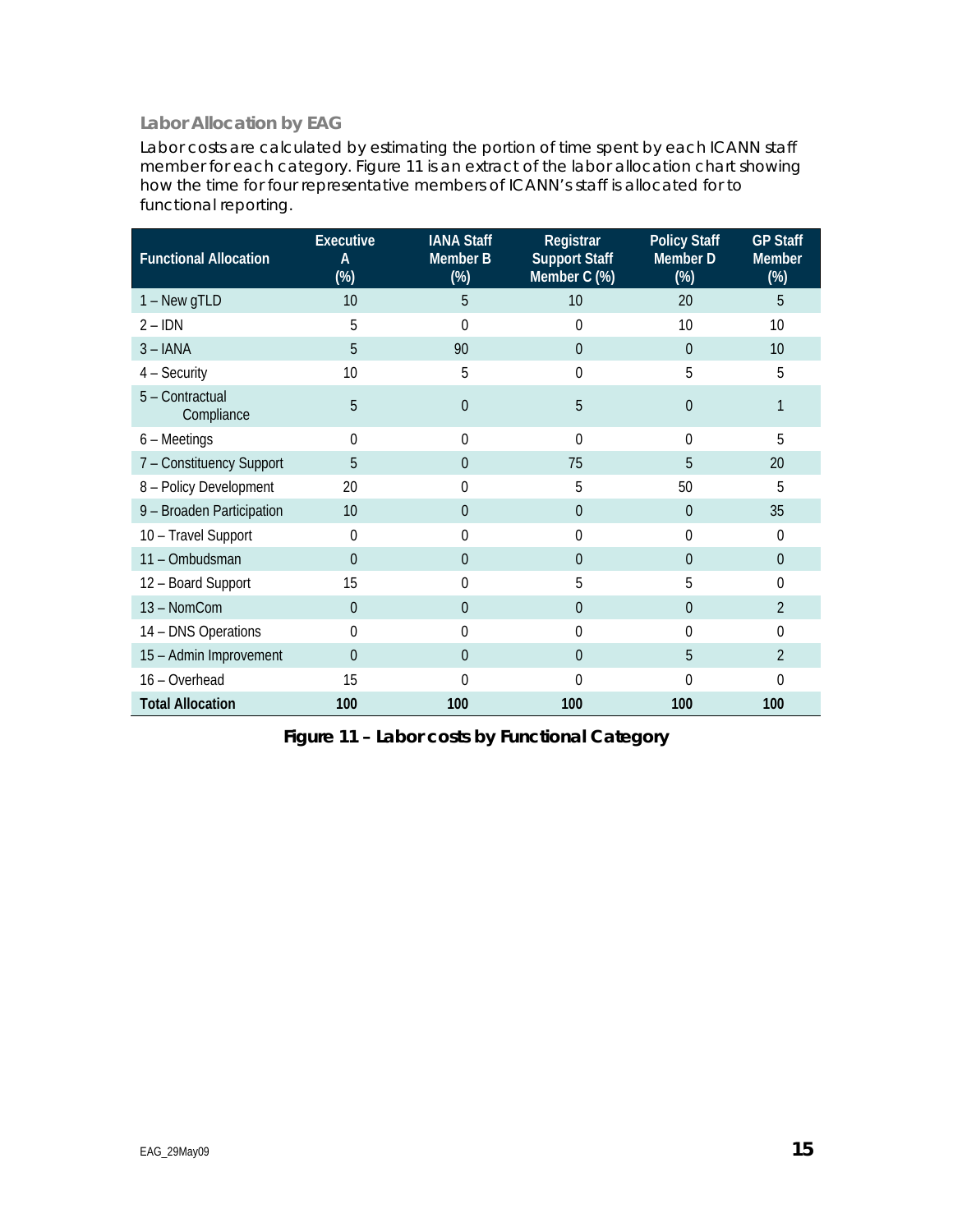# **Labor Allocation by EAG**

Labor costs are calculated by estimating the portion of time spent by each ICANN staff member for each category. Figure 11 is an extract of the labor allocation chart showing how the time for four representative members of ICANN's staff is allocated for to functional reporting.

| <b>Functional Allocation</b>  | <b>Executive</b><br>A<br>$(\%)$ | <b>IANA Staff</b><br>Member B<br>$(\%)$ | Registrar<br><b>Support Staff</b><br>Member C (%) | <b>Policy Staff</b><br>Member D<br>$(\%)$ | <b>GP Staff</b><br><b>Member</b><br>$(\%)$ |
|-------------------------------|---------------------------------|-----------------------------------------|---------------------------------------------------|-------------------------------------------|--------------------------------------------|
| $1 - New gTLD$                | 10                              | 5                                       | 10                                                | 20                                        | 5                                          |
| $2 - IDN$                     | 5                               | 0                                       | $\Omega$                                          | 10                                        | 10                                         |
| $3 - IANA$                    | 5                               | 90                                      | $\overline{0}$                                    | $\theta$                                  | 10                                         |
| $4 -$ Security                | 10                              | 5                                       | 0                                                 | 5                                         | 5                                          |
| 5 - Contractual<br>Compliance | 5                               | $\theta$                                | 5                                                 | $\Omega$                                  |                                            |
| $6 - Meetings$                | 0                               | 0                                       | $\theta$                                          | $\theta$                                  | 5                                          |
| 7 - Constituency Support      | 5                               | $\Omega$                                | 75                                                | 5                                         | 20                                         |
| 8 - Policy Development        | 20                              | 0                                       | 5                                                 | 50                                        | 5                                          |
| 9 - Broaden Participation     | 10                              | $\Omega$                                | $\theta$                                          | $\theta$                                  | 35                                         |
| 10 - Travel Support           | $\Omega$                        | 0                                       | $\Omega$                                          | $\Omega$                                  | $\Omega$                                   |
| 11 - Ombudsman                | 0                               | $\Omega$                                | $\Omega$                                          | $\theta$                                  | $\Omega$                                   |
| 12 - Board Support            | 15                              | 0                                       | 5                                                 | 5                                         | $\Omega$                                   |
| 13 - NomCom                   | $\Omega$                        | $\Omega$                                | $\Omega$                                          | $\theta$                                  | $\overline{2}$                             |
| 14 - DNS Operations           | 0                               | $\theta$                                | 0                                                 | $\theta$                                  | $\theta$                                   |
| 15 - Admin Improvement        | $\overline{0}$                  | $\Omega$                                | $\theta$                                          | 5                                         | $\overline{2}$                             |
| 16 - Overhead                 | 15                              | 0                                       | $\Omega$                                          | $\Omega$                                  | $\Omega$                                   |
| <b>Total Allocation</b>       | 100                             | 100                                     | 100                                               | 100                                       | 100                                        |

**Figure 11 – Labor costs by Functional Category**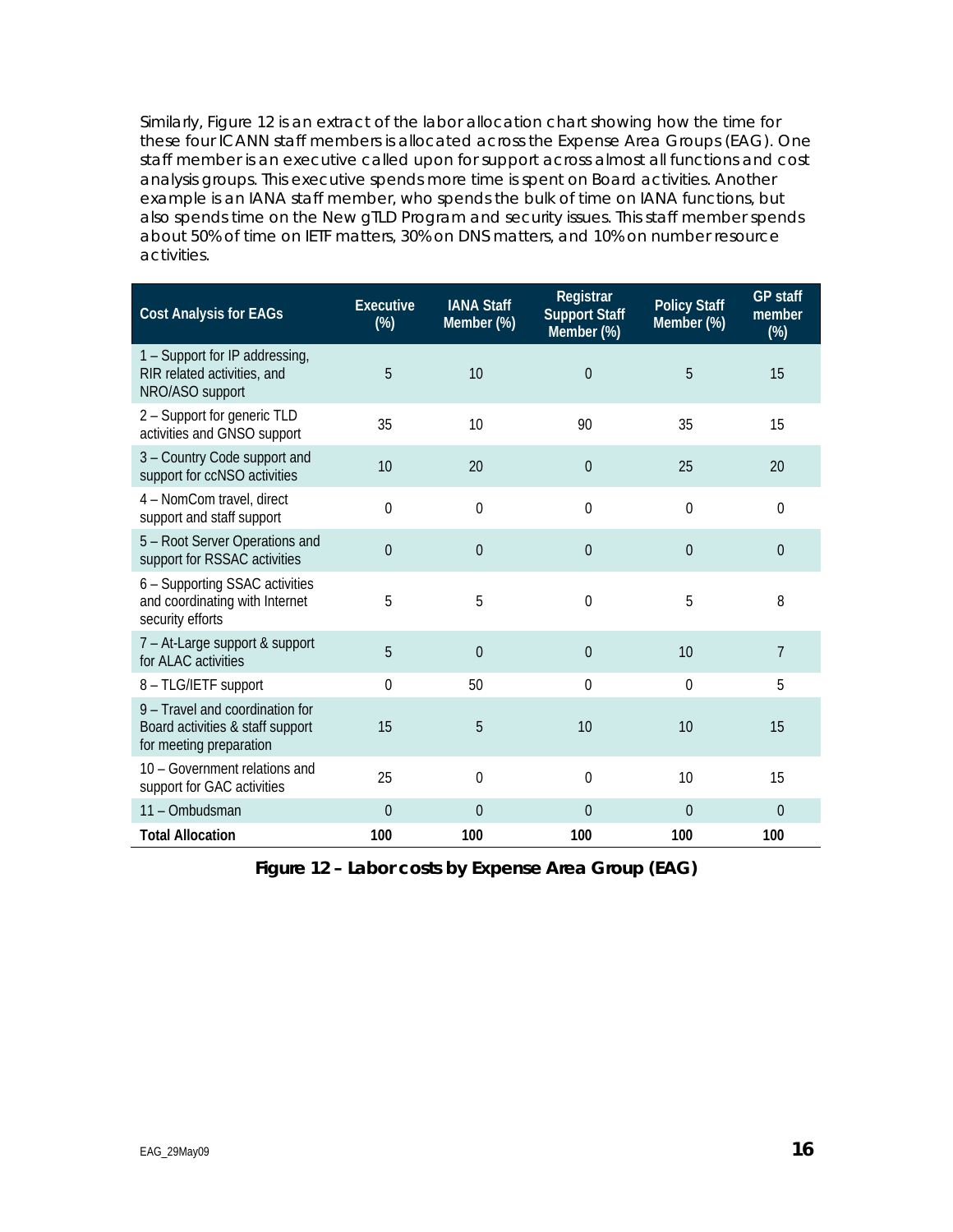Similarly, Figure 12 is an extract of the labor allocation chart showing how the time for these four ICANN staff members is allocated across the Expense Area Groups (EAG). One staff member is an executive called upon for support across almost all functions and cost analysis groups. This executive spends more time is spent on Board activities. Another example is an IANA staff member, who spends the bulk of time on IANA functions, but also spends time on the New gTLD Program and security issues. This staff member spends about 50% of time on IETF matters, 30% on DNS matters, and 10% on number resource activities.

| <b>Cost Analysis for EAGs</b>                                                                  | Executive<br>$(\%)$ | <b>IANA Staff</b><br>Member (%) | Registrar<br><b>Support Staff</b><br>Member (%) | <b>Policy Staff</b><br>Member (%) | <b>GP staff</b><br>member<br>$(\%)$ |
|------------------------------------------------------------------------------------------------|---------------------|---------------------------------|-------------------------------------------------|-----------------------------------|-------------------------------------|
| 1 – Support for IP addressing,<br>RIR related activities, and<br>NRO/ASO support               | 5                   | 10                              | $\mathbf 0$                                     | 5                                 | 15                                  |
| 2 - Support for generic TLD<br>activities and GNSO support                                     | 35                  | 10                              | 90                                              | 35                                | 15                                  |
| 3 - Country Code support and<br>support for ccNSO activities                                   | 10                  | 20                              | $\theta$                                        | 25                                | 20                                  |
| 4 - NomCom travel, direct<br>support and staff support                                         | $\Omega$            | 0                               | $\theta$                                        | 0                                 | 0                                   |
| 5 - Root Server Operations and<br>support for RSSAC activities                                 | $\Omega$            | $\theta$                        | $\theta$                                        | $\overline{0}$                    | 0                                   |
| 6 - Supporting SSAC activities<br>and coordinating with Internet<br>security efforts           | 5                   | 5                               | $\overline{0}$                                  | 5                                 | 8                                   |
| 7 - At-Large support & support<br>for ALAC activities                                          | 5                   | $\overline{0}$                  | $\overline{0}$                                  | 10                                | $\overline{7}$                      |
| 8 - TLG/IETF support                                                                           | $\theta$            | 50                              | $\theta$                                        | $\mathbf{0}$                      | 5                                   |
| 9 - Travel and coordination for<br>Board activities & staff support<br>for meeting preparation | 15                  | 5                               | 10                                              | 10                                | 15                                  |
| 10 - Government relations and<br>support for GAC activities                                    | 25                  | 0                               | $\overline{0}$                                  | 10                                | 15                                  |
| 11 - Ombudsman                                                                                 | $\Omega$            | $\theta$                        | $\overline{0}$                                  | $\overline{0}$                    | 0                                   |
| <b>Total Allocation</b>                                                                        | 100                 | 100                             | 100                                             | 100                               | 100                                 |

**Figure 12 – Labor costs by Expense Area Group (EAG)**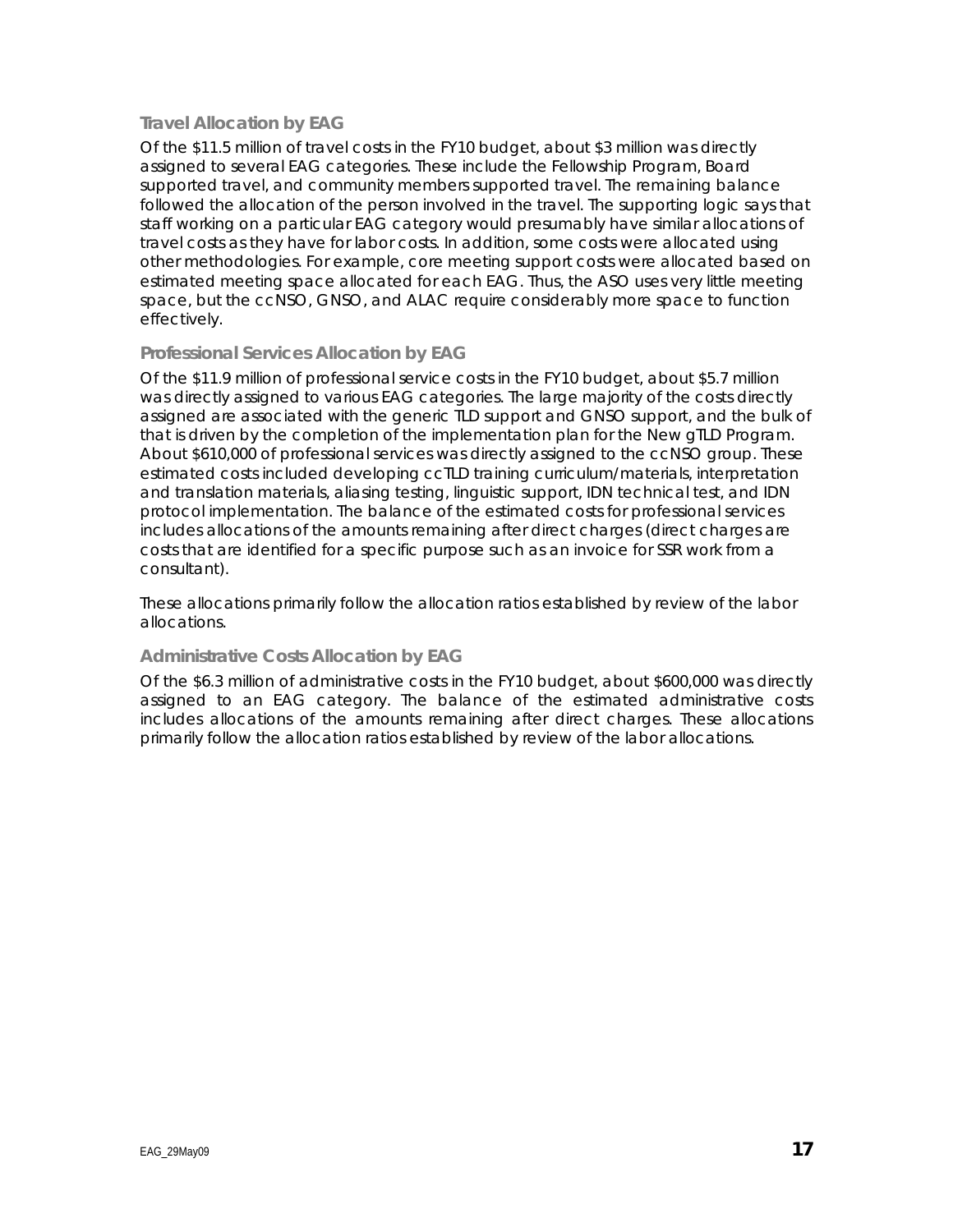### **Travel Allocation by EAG**

Of the \$11.5 million of travel costs in the FY10 budget, about \$3 million was directly assigned to several EAG categories. These include the Fellowship Program, Board supported travel, and community members supported travel. The remaining balance followed the allocation of the person involved in the travel. The supporting logic says that staff working on a particular EAG category would presumably have similar allocations of travel costs as they have for labor costs. In addition, some costs were allocated using other methodologies. For example, core meeting support costs were allocated based on estimated meeting space allocated for each EAG. Thus, the ASO uses very little meeting space, but the ccNSO, GNSO, and ALAC require considerably more space to function effectively.

#### **Professional Services Allocation by EAG**

Of the \$11.9 million of professional service costs in the FY10 budget, about \$5.7 million was directly assigned to various EAG categories. The large majority of the costs directly assigned are associated with the generic TLD support and GNSO support, and the bulk of that is driven by the completion of the implementation plan for the New gTLD Program. About \$610,000 of professional services was directly assigned to the ccNSO group. These estimated costs included developing ccTLD training curriculum/materials, interpretation and translation materials, aliasing testing, linguistic support, IDN technical test, and IDN protocol implementation. The balance of the estimated costs for professional services includes allocations of the amounts remaining after direct charges (direct charges are costs that are identified for a specific purpose such as an invoice for SSR work from a consultant).

These allocations primarily follow the allocation ratios established by review of the labor allocations.

#### **Administrative Costs Allocation by EAG**

Of the \$6.3 million of administrative costs in the FY10 budget, about \$600,000 was directly assigned to an EAG category. The balance of the estimated administrative costs includes allocations of the amounts remaining after direct charges. These allocations primarily follow the allocation ratios established by review of the labor allocations.